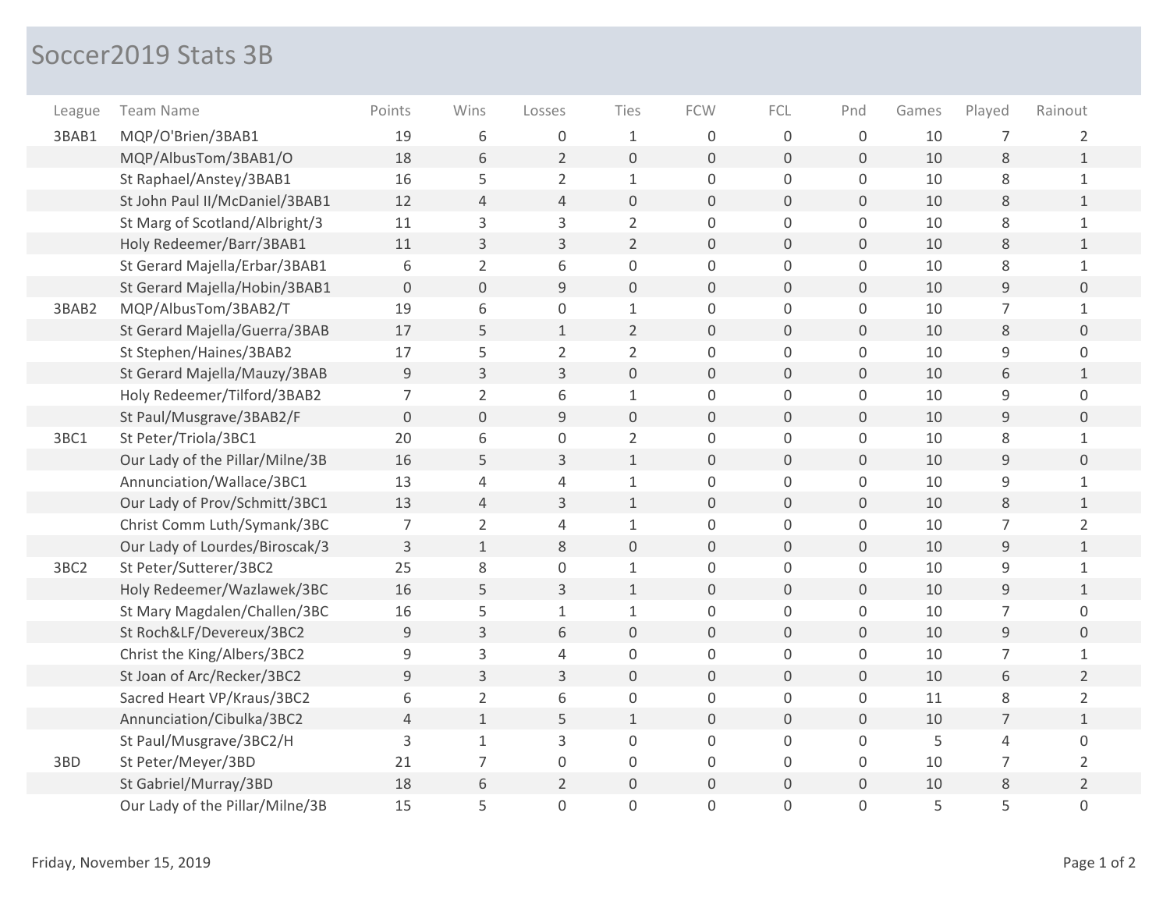## Soccer2019 Stats 3B

| League | <b>Team Name</b>                | Points         | Wins           | Losses         | Ties                | <b>FCW</b>          | FCL              | Pnd            | Games | Played         | Rainout        |
|--------|---------------------------------|----------------|----------------|----------------|---------------------|---------------------|------------------|----------------|-------|----------------|----------------|
| 3BAB1  | MQP/O'Brien/3BAB1               | 19             | 6              | 0              | $\mathbf 1$         | $\mathbf 0$         | $\mathsf 0$      | $\mathbf 0$    | 10    | $\overline{7}$ | 2              |
|        | MQP/AlbusTom/3BAB1/O            | 18             | 6              | $\overline{2}$ | $\mathsf{O}\xspace$ | $\mathbf 0$         | $\mathbf 0$      | 0              | 10    | 8              | $\mathbf{1}$   |
|        | St Raphael/Anstey/3BAB1         | 16             | 5              | $\overline{2}$ | $\mathbf{1}$        | $\mathsf 0$         | $\mathsf 0$      | 0              | 10    | $\,8\,$        | $\mathbf{1}$   |
|        | St John Paul II/McDaniel/3BAB1  | 12             | $\overline{4}$ | $\overline{4}$ | $\overline{0}$      | $\mathbf{0}$        | $\mathbf 0$      | $\overline{0}$ | 10    | 8              | $\mathbf{1}$   |
|        | St Marg of Scotland/Albright/3  | 11             | 3              | 3              | $\overline{2}$      | $\mathbf 0$         | $\mathsf 0$      | 0              | 10    | $\,8\,$        | $\mathbf{1}$   |
|        | Holy Redeemer/Barr/3BAB1        | 11             | 3              | 3              | $\overline{2}$      | $\Omega$            | $\Omega$         | 0              | 10    | 8              | $\mathbf{1}$   |
|        | St Gerard Majella/Erbar/3BAB1   | 6              | $\overline{2}$ | 6              | 0                   | $\mathsf{O}\xspace$ | $\mathsf 0$      | 0              | 10    | $\,8\,$        | $\mathbf{1}$   |
|        | St Gerard Majella/Hobin/3BAB1   | $\overline{O}$ | $\overline{0}$ | 9              | $\mathbf 0$         | $\mathbf 0$         | $\mathbf 0$      | $\overline{0}$ | 10    | 9              | $\overline{0}$ |
| 3BAB2  | MQP/AlbusTom/3BAB2/T            | 19             | 6              | 0              | $\mathbf{1}$        | 0                   | 0                | 0              | 10    | 7              | $\mathbf{1}$   |
|        | St Gerard Majella/Guerra/3BAB   | 17             | 5              | $\mathbf{1}$   | $\overline{2}$      | $\mathbf 0$         | $\mathbf 0$      | 0              | 10    | $\,8\,$        | $\overline{0}$ |
|        | St Stephen/Haines/3BAB2         | 17             | 5              | $\overline{2}$ | $\overline{2}$      | $\mathbf 0$         | 0                | 0              | 10    | 9              | 0              |
|        | St Gerard Majella/Mauzy/3BAB    | 9              | $\overline{3}$ | 3              | $\overline{0}$      | $\Omega$            | $\overline{0}$   | $\overline{0}$ | 10    | 6              | $\mathbf{1}$   |
|        | Holy Redeemer/Tilford/3BAB2     | 7              | $\overline{2}$ | 6              | $\mathbf 1$         | 0                   | $\mathsf 0$      | 0              | 10    | 9              | 0              |
|        | St Paul/Musgrave/3BAB2/F        | $\Omega$       | $\mathbf 0$    | 9              | $\mathbf 0$         | $\mathbf 0$         | $\mathbf{0}$     | 0              | 10    | 9              | $\mathbf{0}$   |
| 3BC1   | St Peter/Triola/3BC1            | 20             | 6              | 0              | $\overline{2}$      | $\mathbf 0$         | $\mathsf 0$      | 0              | 10    | 8              | $\mathbf{1}$   |
|        | Our Lady of the Pillar/Milne/3B | 16             | 5              | 3              | $\mathbf{1}$        | $\mathbf{0}$        | $\overline{0}$   | 0              | 10    | $\overline{9}$ | $\overline{0}$ |
|        | Annunciation/Wallace/3BC1       | 13             | 4              | 4              | $\mathbf{1}$        | 0                   | $\mathsf 0$      | 0              | 10    | 9              | 1              |
|        | Our Lady of Prov/Schmitt/3BC1   | 13             | $\overline{4}$ | 3              | $\mathbf{1}$        | $\mathbf 0$         | $\overline{0}$   | 0              | 10    | 8              | $\mathbf{1}$   |
|        | Christ Comm Luth/Symank/3BC     | $\overline{7}$ | $\overline{2}$ | 4              | $\mathbf 1$         | $\mathbf 0$         | $\mathsf 0$      | 0              | 10    | $\overline{7}$ | $\overline{2}$ |
|        | Our Lady of Lourdes/Biroscak/3  | $\overline{3}$ | $\mathbf{1}$   | 8              | $\mathbf 0$         | $\mathbf{0}$        | $\overline{0}$   | 0              | 10    | $\overline{9}$ | $\mathbf{1}$   |
| 3BC2   | St Peter/Sutterer/3BC2          | 25             | 8              | $\mathbf 0$    | $\mathbf 1$         | $\mathbf 0$         | $\mathsf 0$      | 0              | 10    | 9              | $\mathbf{1}$   |
|        | Holy Redeemer/Wazlawek/3BC      | 16             | 5              | 3              | $\mathbf{1}$        | $\Omega$            | $\Omega$         | 0              | 10    | 9              | $\mathbf{1}$   |
|        | St Mary Magdalen/Challen/3BC    | 16             | 5              | $1\,$          | $\mathbf{1}$        | $\mathsf 0$         | $\mathbf 0$      | 0              | 10    | $\overline{7}$ | 0              |
|        | St Roch&LF/Devereux/3BC2        | 9              | 3              | 6              | $\mathsf{O}\xspace$ | $\mathbf{0}$        | $\overline{0}$   | 0              | 10    | $\mathsf 9$    | $\overline{0}$ |
|        | Christ the King/Albers/3BC2     | 9              | $\mathsf{3}$   | $\overline{4}$ | 0                   | $\mathsf 0$         | $\boldsymbol{0}$ | 0              | 10    | 7              | 1              |
|        | St Joan of Arc/Recker/3BC2      | 9              | 3              | 3              | $\mathbf 0$         | $\mathsf{O}\xspace$ | $\mathbf 0$      | 0              | 10    | 6              | $\overline{2}$ |
|        | Sacred Heart VP/Kraus/3BC2      | 6              | $\overline{2}$ | 6              | $\mathsf{O}\xspace$ | $\mathsf 0$         | $\boldsymbol{0}$ | 0              | 11    | $\,8\,$        | $\overline{2}$ |
|        | Annunciation/Cibulka/3BC2       | $\overline{4}$ | $\mathbf{1}$   | 5              | $\mathbf 1$         | $\mathbf 0$         | $\mathbf{O}$     | 0              | 10    | $\overline{7}$ | $\mathbf{1}$   |
|        | St Paul/Musgrave/3BC2/H         | 3              | $\mathbf{1}$   | 3              | 0                   | $\mathbf 0$         | $\mathsf 0$      | 0              | 5     | 4              | 0              |
| 3BD    | St Peter/Meyer/3BD              | 21             | 7              | $\mathbf{0}$   | 0                   | $\Omega$            | 0                | 0              | 10    | 7              | 2              |
|        | St Gabriel/Murray/3BD           | 18             | 6              | $\overline{2}$ | $\mathsf{O}\xspace$ | $\mathbf 0$         | $\mathbf 0$      | 0              | 10    | 8              | $\overline{2}$ |
|        | Our Lady of the Pillar/Milne/3B | 15             | 5              | $\mathbf 0$    | 0                   | 0                   | $\Omega$         | 0              | 5     | 5              | 0              |